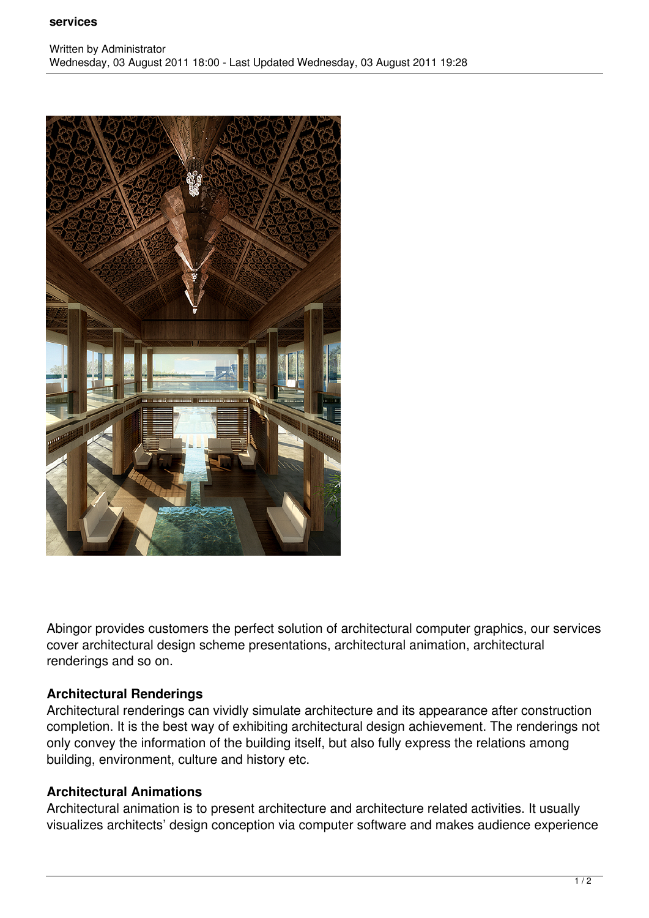#### **services**



Abingor provides customers the perfect solution of architectural computer graphics, our services cover architectural design scheme presentations, architectural animation, architectural renderings and so on.

### **Architectural Renderings**

Architectural renderings can vividly simulate architecture and its appearance after construction completion. It is the best way of exhibiting architectural design achievement. The renderings not only convey the information of the building itself, but also fully express the relations among building, environment, culture and history etc.

# **Architectural Animations**

Architectural animation is to present architecture and architecture related activities. It usually visualizes architects' design conception via computer software and makes audience experience